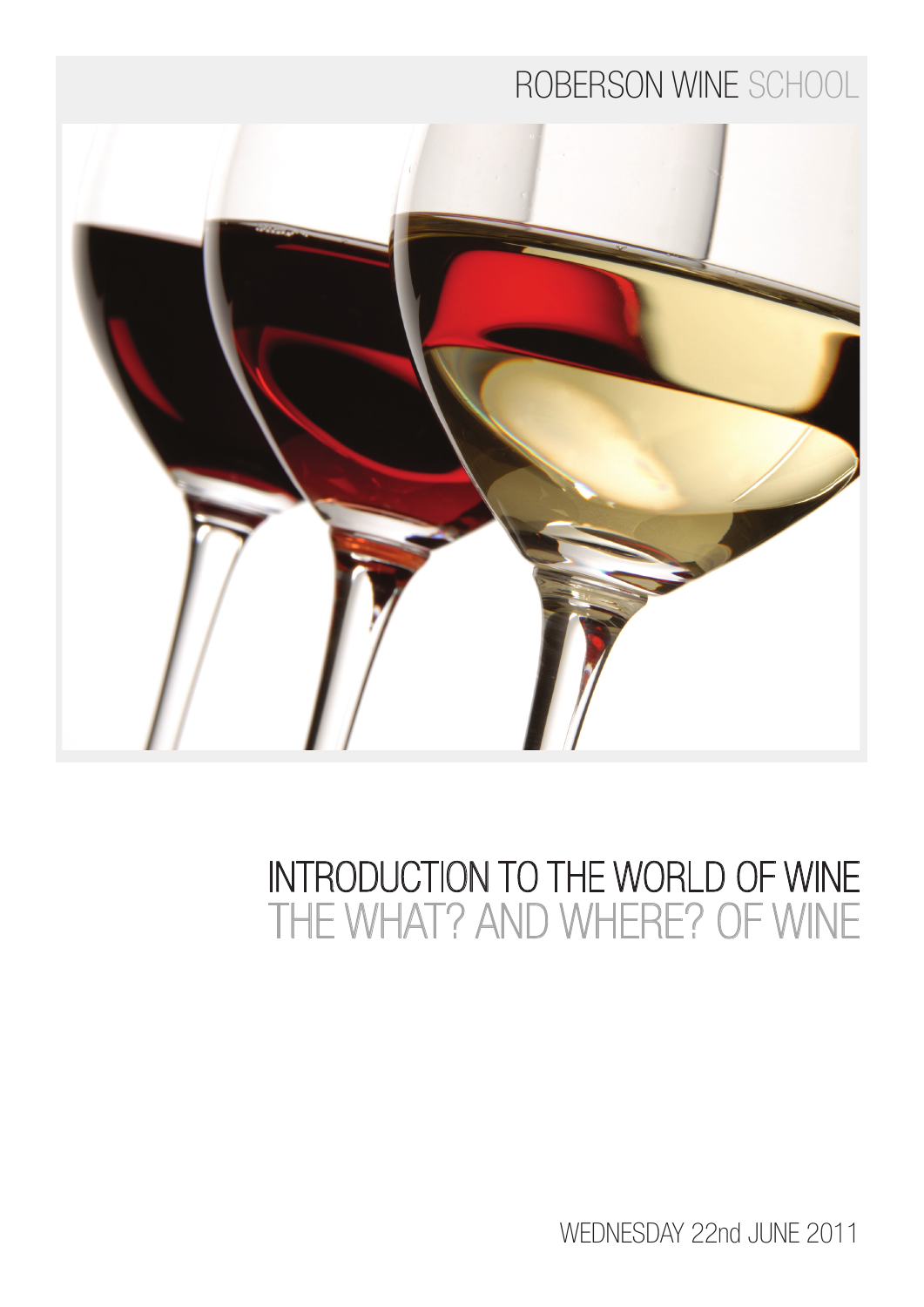# ROBERSON WINE SCHOOL



# INTRODUCTION TO THE WORLD OF WINE THE WHAT? AND WHERE? OF WINE

WEDNESDAY 22nd JUNE 2011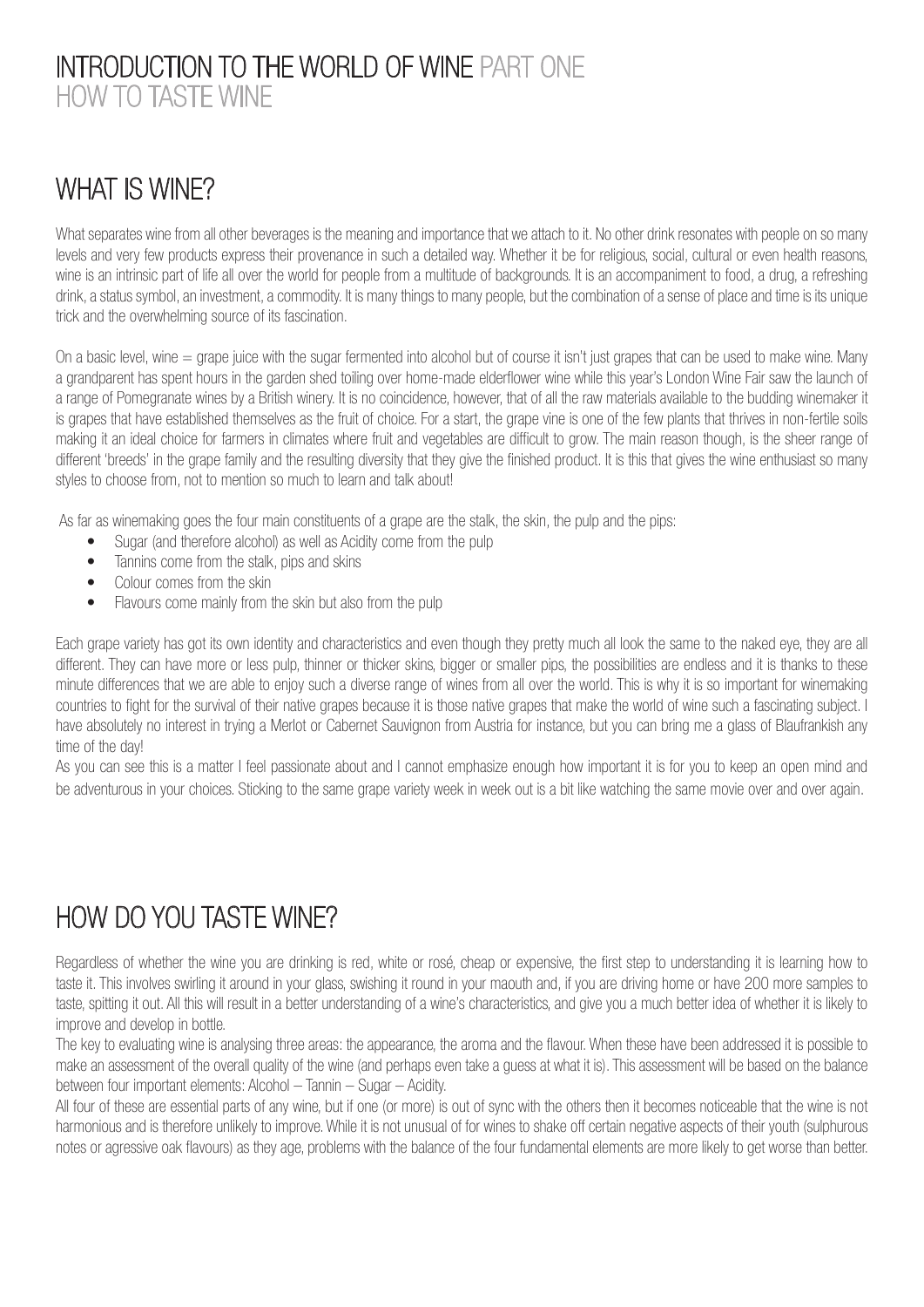#### INTRODUCTION TO THE WORLD OF WINE PART ONE HOW TO TASTE WINE

### WHAT IS WINE?

What separates wine from all other beverages is the meaning and importance that we attach to it. No other drink resonates with people on so many levels and very few products express their provenance in such a detailed way. Whether it be for religious, social, cultural or even health reasons, wine is an intrinsic part of life all over the world for people from a multitude of backgrounds. It is an accompaniment to food, a drug, a refreshing drink, a status symbol, an investment, a commodity. It is many things to many people, but the combination of a sense of place and time is its unique trick and the overwhelming source of its fascination.

On a basic level, wine  $=$  grape juice with the sugar fermented into alcohol but of course it isn't just grapes that can be used to make wine. Many a grandparent has spent hours in the garden shed toiling over home-made elderflower wine while this year's London Wine Fair saw the launch of a range of Pomegranate wines by a British winery. It is no coincidence, however, that of all the raw materials available to the budding winemaker it is grapes that have established themselves as the fruit of choice. For a start, the grape vine is one of the few plants that thrives in non-fertile soils making it an ideal choice for farmers in climates where fruit and vegetables are difficult to grow. The main reason though, is the sheer range of different 'breeds' in the grape family and the resulting diversity that they give the finished product. It is this that gives the wine enthusiast so many styles to choose from, not to mention so much to learn and talk about!

As far as winemaking goes the four main constituents of a grape are the stalk, the skin, the pulp and the pips:

- Sugar (and therefore alcohol) as well as Acidity come from the pulp
- Tannins come from the stalk, pips and skins
- Colour comes from the skin
- Flavours come mainly from the skin but also from the pulp

Each grape variety has got its own identity and characteristics and even though they pretty much all look the same to the naked eye, they are all different. They can have more or less pulp, thinner or thicker skins, bigger or smaller pips, the possibilities are endless and it is thanks to these minute differences that we are able to enjoy such a diverse range of wines from all over the world. This is why it is so important for winemaking countries to fight for the survival of their native grapes because it is those native grapes that make the world of wine such a fascinating subject. I have absolutely no interest in trying a Merlot or Cabernet Sauvignon from Austria for instance, but you can bring me a glass of Blaufrankish any time of the day!

As you can see this is a matter I feel passionate about and I cannot emphasize enough how important it is for you to keep an open mind and be adventurous in your choices. Sticking to the same grape variety week in week out is a bit like watching the same movie over and over again.

## HOW DO YOU TASTE WINE?

Regardless of whether the wine you are drinking is red, white or rosé, cheap or expensive, the first step to understanding it is learning how to taste it. This involves swirling it around in your glass, swishing it round in your maouth and, if you are driving home or have 200 more samples to taste, spitting it out. All this will result in a better understanding of a wine's characteristics, and give you a much better idea of whether it is likely to improve and develop in bottle.

The key to evaluating wine is analysing three areas: the appearance, the aroma and the flavour. When these have been addressed it is possible to make an assessment of the overall quality of the wine (and perhaps even take a guess at what it is). This assessment will be based on the balance between four important elements: Alcohol – Tannin – Sugar – Acidity.

All four of these are essential parts of any wine, but if one (or more) is out of sync with the others then it becomes noticeable that the wine is not harmonious and is therefore unlikely to improve. While it is not unusual of for wines to shake off certain negative aspects of their youth (sulphurous notes or agressive oak flavours) as they age, problems with the balance of the four fundamental elements are more likely to get worse than better.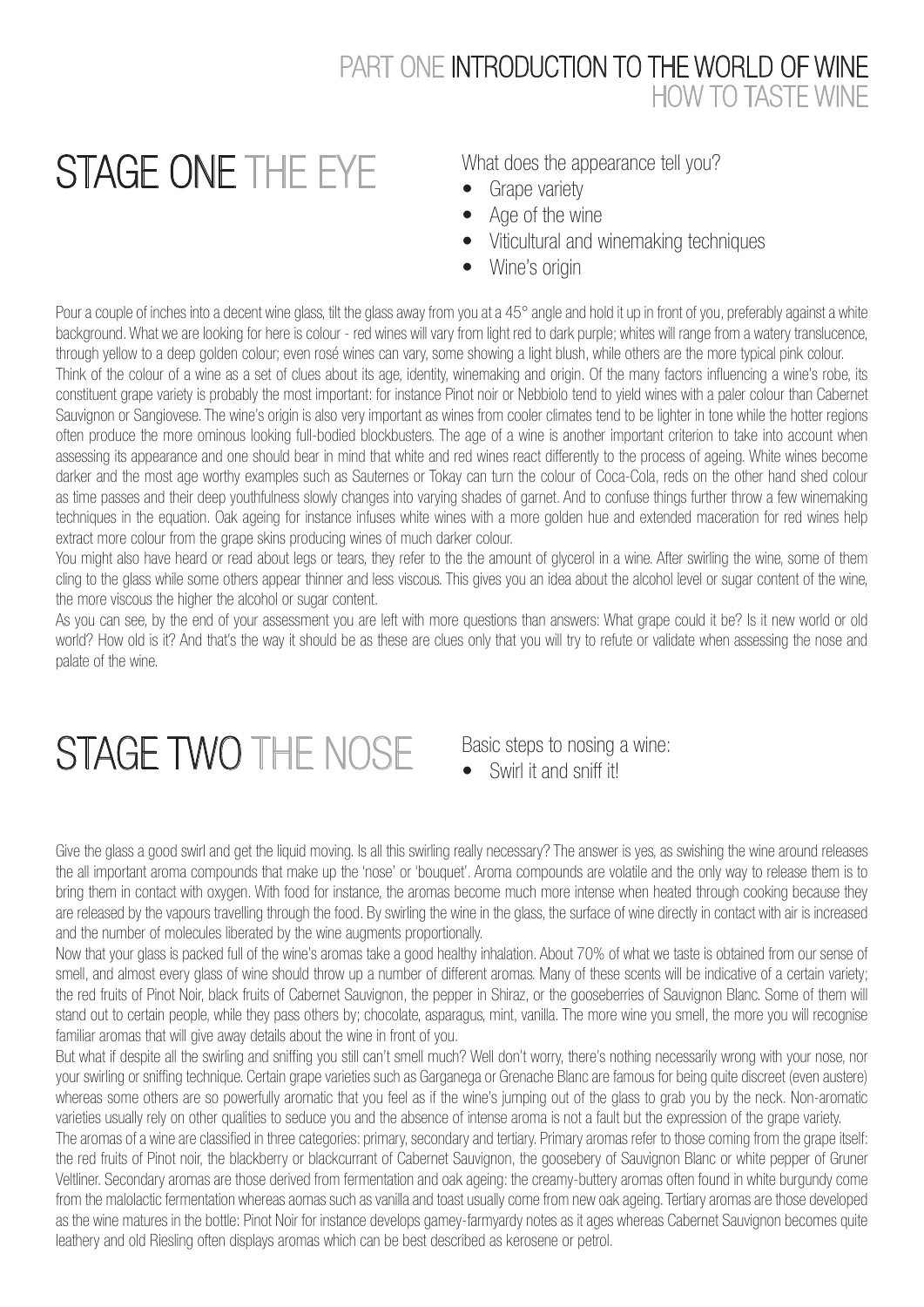#### PART ONE INTRODUCTION TO THE WORLD OF WINE HOW TO TASTE WINE

# STAGE ONE THE EYE

What does the appearance tell you?

- Grape variety
- Age of the wine
- Viticultural and winemaking techniques
- Wine's origin

Pour a couple of inches into a decent wine glass, tilt the glass away from you at a 45° angle and hold it up in front of you, preferably against a white background. What we are looking for here is colour - red wines will vary from light red to dark purple; whites will range from a watery translucence, through yellow to a deep golden colour; even rosé wines can vary, some showing a light blush, while others are the more typical pink colour.

Think of the colour of a wine as a set of clues about its age, identity, winemaking and origin. Of the many factors influencing a wine's robe, its constituent grape variety is probably the most important: for instance Pinot noir or Nebbiolo tend to yield wines with a paler colour than Cabernet Sauvignon or Sangiovese. The wine's origin is also very important as wines from cooler climates tend to be lighter in tone while the hotter regions often produce the more ominous looking full-bodied blockbusters. The age of a wine is another important criterion to take into account when assessing its appearance and one should bear in mind that white and red wines react differently to the process of ageing. White wines become darker and the most age worthy examples such as Sauternes or Tokay can turn the colour of Coca-Cola, reds on the other hand shed colour as time passes and their deep youthfulness slowly changes into varying shades of garnet. And to confuse things further throw a few winemaking techniques in the equation. Oak ageing for instance infuses white wines with a more golden hue and extended maceration for red wines help extract more colour from the grape skins producing wines of much darker colour.

You might also have heard or read about legs or tears, they refer to the the amount of glycerol in a wine. After swirling the wine, some of them cling to the glass while some others appear thinner and less viscous. This gives you an idea about the alcohol level or sugar content of the wine, the more viscous the higher the alcohol or sugar content.

As you can see, by the end of your assessment you are left with more questions than answers: What grape could it be? Is it new world or old world? How old is it? And that's the way it should be as these are clues only that you will try to refute or validate when assessing the nose and palate of the wine.

# STAGE TWO THE NOSE Basic steps to nosing a wine:

• Swirl it and sniff it!

Give the glass a good swirl and get the liquid moving. Is all this swirling really necessary? The answer is yes, as swishing the wine around releases the all important aroma compounds that make up the 'nose' or 'bouquet'. Aroma compounds are volatile and the only way to release them is to bring them in contact with oxygen. With food for instance, the aromas become much more intense when heated through cooking because they are released by the vapours travelling through the food. By swirling the wine in the glass, the surface of wine directly in contact with air is increased and the number of molecules liberated by the wine augments proportionally.

Now that your glass is packed full of the wine's aromas take a good healthy inhalation. About 70% of what we taste is obtained from our sense of smell, and almost every glass of wine should throw up a number of different aromas. Many of these scents will be indicative of a certain variety; the red fruits of Pinot Noir, black fruits of Cabernet Sauvignon, the pepper in Shiraz, or the gooseberries of Sauvignon Blanc. Some of them will stand out to certain people, while they pass others by; chocolate, asparagus, mint, vanilla. The more wine you smell, the more you will recognise familiar aromas that will give away details about the wine in front of you.

But what if despite all the swirling and sniffing you still can't smell much? Well don't worry, there's nothing necessarily wrong with your nose, nor your swirling or sniffing technique. Certain grape varieties such as Garganega or Grenache Blanc are famous for being quite discreet (even austere) whereas some others are so powerfully aromatic that you feel as if the wine's jumping out of the glass to grab you by the neck. Non-aromatic varieties usually rely on other qualities to seduce you and the absence of intense aroma is not a fault but the expression of the grape variety.

The aromas of a wine are classified in three categories: primary, secondary and tertiary. Primary aromas refer to those coming from the grape itself: the red fruits of Pinot noir, the blackberry or blackcurrant of Cabernet Sauvignon, the goosebery of Sauvignon Blanc or white pepper of Gruner Veltliner. Secondary aromas are those derived from fermentation and oak ageing: the creamy-buttery aromas often found in white burgundy come from the malolactic fermentation whereas aomas such as vanilla and toast usually come from new oak ageing. Tertiary aromas are those developed as the wine matures in the bottle: Pinot Noir for instance develops gamey-farmyardy notes as it ages whereas Cabernet Sauvignon becomes quite leathery and old Riesling often displays aromas which can be best described as kerosene or petrol.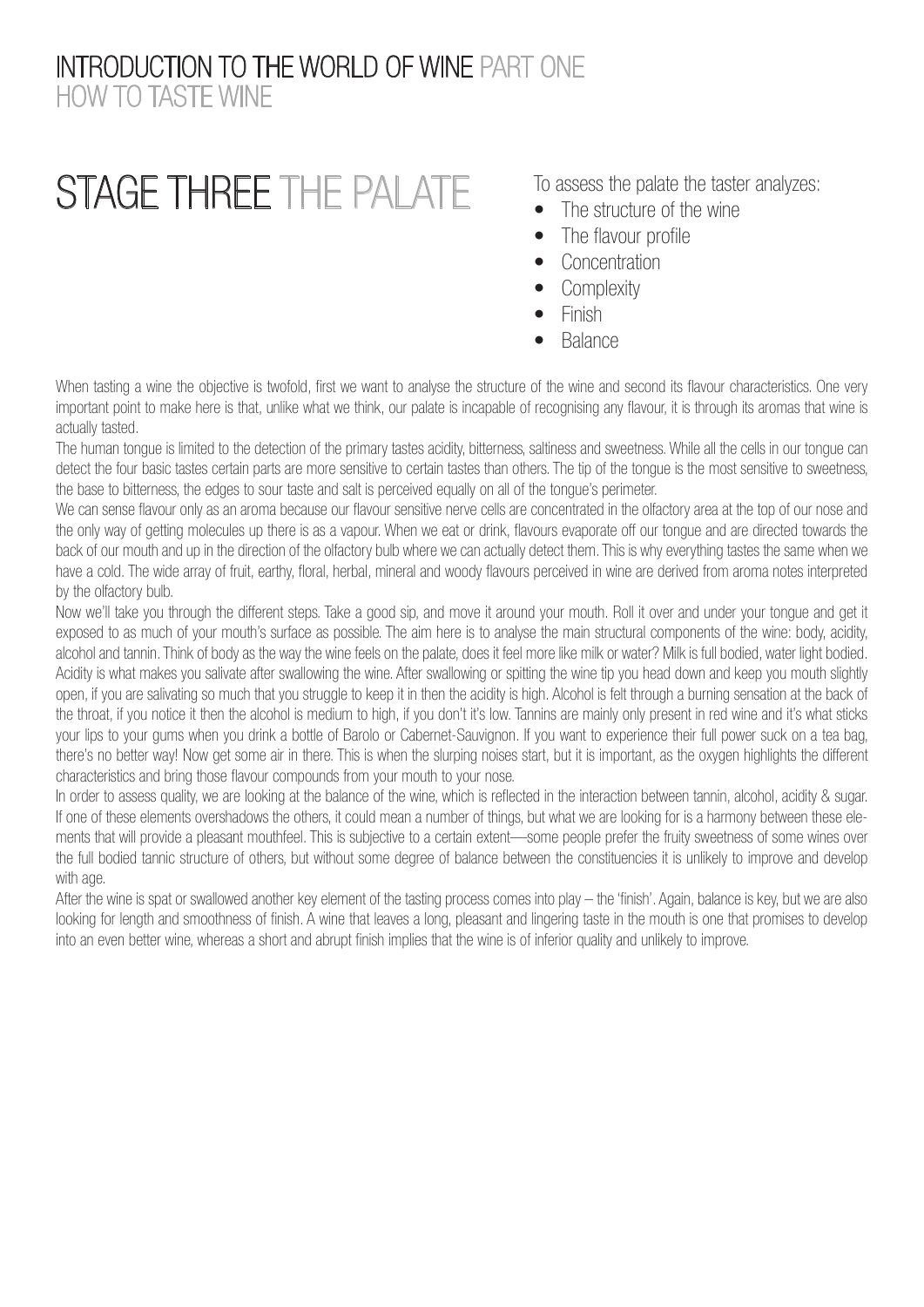#### INTRODUCTION TO THE WORLD OF WINE PART ONE HOW TO TASTE WINE

# STAGE THREE THE PALATE

To assess the palate the taster analyzes:

- The structure of the wine
- The flavour profile
- Concentration
- Complexity
- Finish
- Balance

When tasting a wine the objective is twofold, first we want to analyse the structure of the wine and second its flavour characteristics. One very important point to make here is that, unlike what we think, our palate is incapable of recognising any flavour, it is through its aromas that wine is actually tasted.

The human tongue is limited to the detection of the primary tastes acidity, bitterness, saltiness and sweetness. While all the cells in our tongue can detect the four basic tastes certain parts are more sensitive to certain tastes than others. The tip of the tongue is the most sensitive to sweetness, the base to bitterness, the edges to sour taste and salt is perceived equally on all of the tongue's perimeter.

We can sense flavour only as an aroma because our flavour sensitive nerve cells are concentrated in the olfactory area at the top of our nose and the only way of getting molecules up there is as a vapour. When we eat or drink, flavours evaporate off our tongue and are directed towards the back of our mouth and up in the direction of the olfactory bulb where we can actually detect them. This is why everything tastes the same when we have a cold. The wide array of fruit, earthy, floral, herbal, mineral and woody flavours perceived in wine are derived from aroma notes interpreted by the olfactory bulb.

Now we'll take you through the different steps. Take a good sip, and move it around your mouth. Roll it over and under your tongue and get it exposed to as much of your mouth's surface as possible. The aim here is to analyse the main structural components of the wine: body, acidity, alcohol and tannin. Think of body as the way the wine feels on the palate, does it feel more like milk or water? Milk is full bodied, water light bodied. Acidity is what makes you salivate after swallowing the wine. After swallowing or spitting the wine tip you head down and keep you mouth slightly open, if you are salivating so much that you struggle to keep it in then the acidity is high. Alcohol is felt through a burning sensation at the back of the throat, if you notice it then the alcohol is medium to high, if you don't it's low. Tannins are mainly only present in red wine and it's what sticks your lips to your gums when you drink a bottle of Barolo or Cabernet-Sauvignon. If you want to experience their full power suck on a tea bag, there's no better way! Now get some air in there. This is when the slurping noises start, but it is important, as the oxygen highlights the different characteristics and bring those flavour compounds from your mouth to your nose.

In order to assess quality, we are looking at the balance of the wine, which is reflected in the interaction between tannin, alcohol, acidity & sugar. If one of these elements overshadows the others, it could mean a number of things, but what we are looking for is a harmony between these elements that will provide a pleasant mouthfeel. This is subjective to a certain extent—some people prefer the fruity sweetness of some wines over the full bodied tannic structure of others, but without some degree of balance between the constituencies it is unlikely to improve and develop with age.

After the wine is spat or swallowed another key element of the tasting process comes into play – the 'finish'. Again, balance is key, but we are also looking for length and smoothness of finish. A wine that leaves a long, pleasant and lingering taste in the mouth is one that promises to develop into an even better wine, whereas a short and abrupt finish implies that the wine is of inferior quality and unlikely to improve.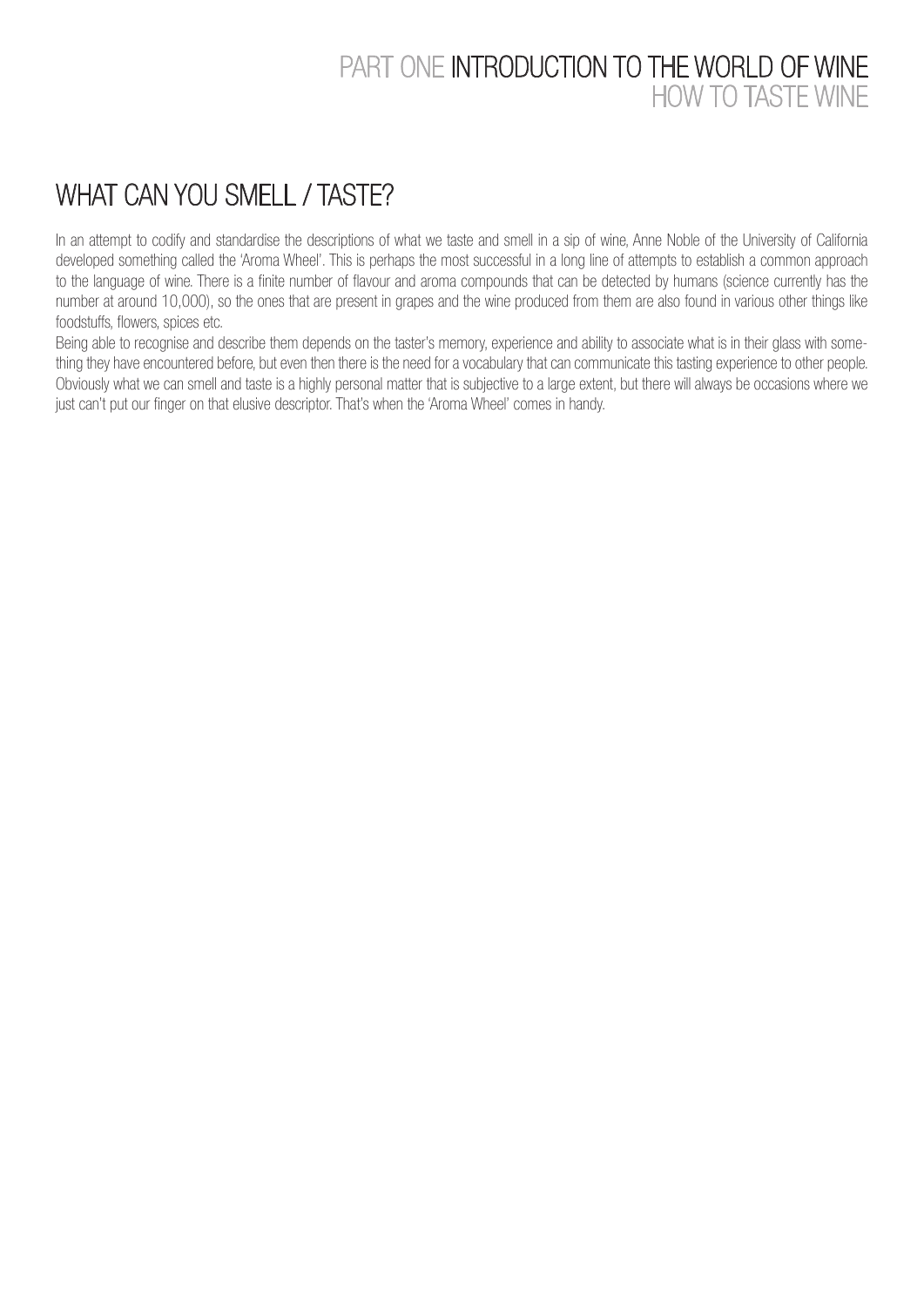#### PART ONE INTRODUCTION TO THE WORLD OF WINE HOW TO TASTE WINE

## WHAT CAN YOU SMELL / TASTE?

In an attempt to codify and standardise the descriptions of what we taste and smell in a sip of wine, Anne Noble of the University of California developed something called the 'Aroma Wheel'. This is perhaps the most successful in a long line of attempts to establish a common approach to the language of wine. There is a finite number of flavour and aroma compounds that can be detected by humans (science currently has the number at around 10,000), so the ones that are present in grapes and the wine produced from them are also found in various other things like foodstuffs, flowers, spices etc.

Being able to recognise and describe them depends on the taster's memory, experience and ability to associate what is in their glass with something they have encountered before, but even then there is the need for a vocabulary that can communicate this tasting experience to other people. Obviously what we can smell and taste is a highly personal matter that is subjective to a large extent, but there will always be occasions where we just can't put our finger on that elusive descriptor. That's when the 'Aroma Wheel' comes in handy.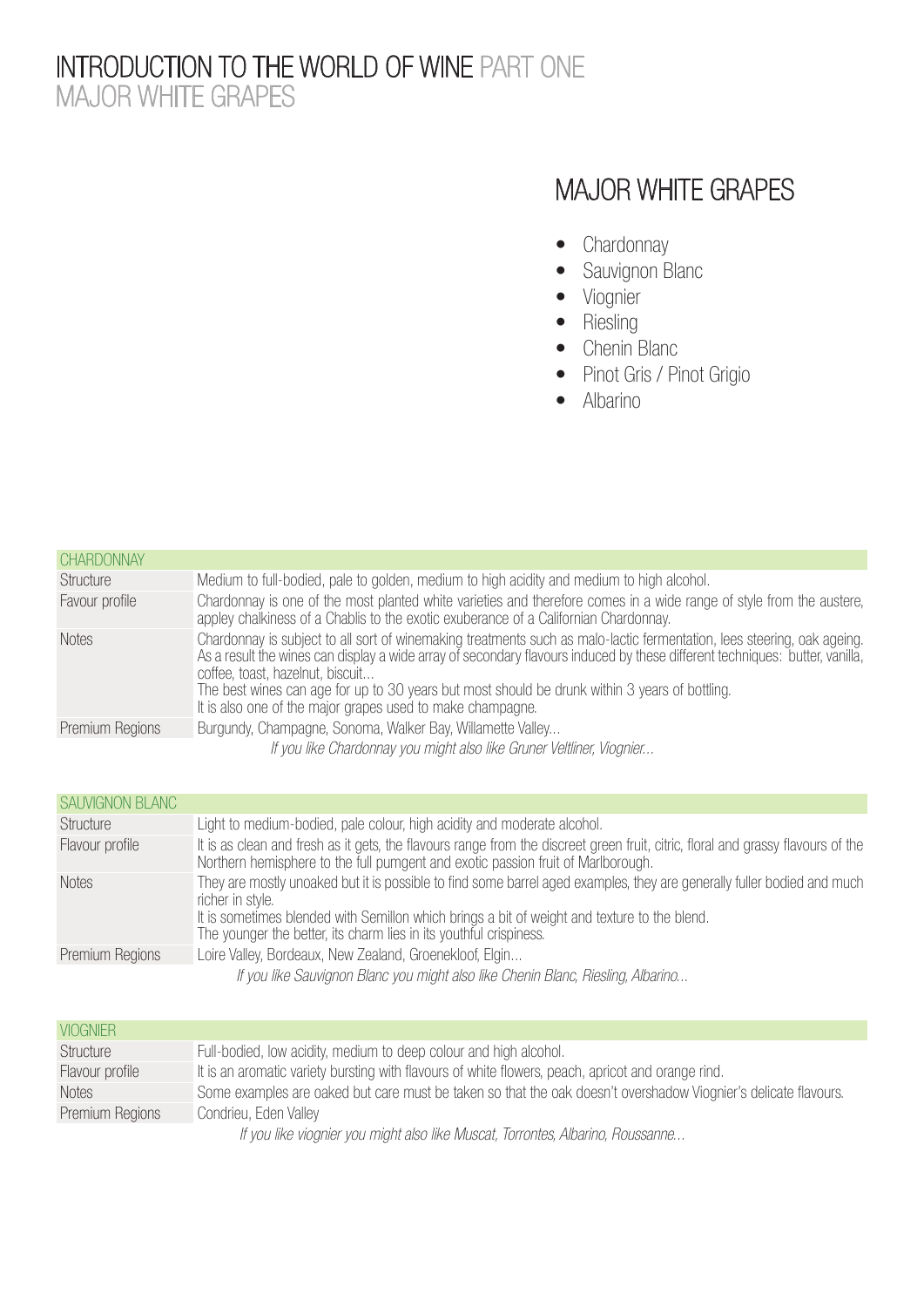#### INTRODUCTION TO THE WORLD OF WINE PART ONE MAJOR WHITE GRAPES

### MAJOR WHITE GRAPES

- Chardonnay
- Sauvignon Blanc
- Viognier
- Riesling
- Chenin Blanc
- Pinot Gris / Pinot Grigio
- Albarino

| <b>CHARDONNAY</b> |                                                                                                                                                                                                                                                                                                                                                                                                                                                             |
|-------------------|-------------------------------------------------------------------------------------------------------------------------------------------------------------------------------------------------------------------------------------------------------------------------------------------------------------------------------------------------------------------------------------------------------------------------------------------------------------|
| Structure         | Medium to full-bodied, pale to golden, medium to high acidity and medium to high alcohol.                                                                                                                                                                                                                                                                                                                                                                   |
| Favour profile    | Chardonnay is one of the most planted white varieties and therefore comes in a wide range of style from the austere,<br>appley chalkiness of a Chablis to the exotic exuberance of a Californian Chardonnay.                                                                                                                                                                                                                                                |
| <b>Notes</b>      | Chardonnay is subject to all sort of winemaking treatments such as malo-lactic fermentation, lees steering, oak ageing.<br>As a result the wines can display a wide array of secondary flavours induced by these different techniques: butter, vanilla,<br>coffee, toast, hazelnut, biscuit<br>The best wines can age for up to 30 years but most should be drunk within 3 years of bottling.<br>It is also one of the major grapes used to make champagne. |
| Premium Regions   | Burgundy, Champagne, Sonoma, Walker Bay, Willamette Valley                                                                                                                                                                                                                                                                                                                                                                                                  |
|                   | If you like Chardonnay you might also like Gruner Veltliner, Viognier                                                                                                                                                                                                                                                                                                                                                                                       |

| <b>SAUVIGNON BLANC</b> |                                                                                                                                                                                                                      |
|------------------------|----------------------------------------------------------------------------------------------------------------------------------------------------------------------------------------------------------------------|
| Structure              | Light to medium-bodied, pale colour, high acidity and moderate alcohol.                                                                                                                                              |
| Flavour profile        | It is as clean and fresh as it gets, the flavours range from the discreet green fruit, citric, floral and grassy flavours of the<br>Northern hemisphere to the full pumgent and exotic passion fruit of Marlborough. |
| <b>Notes</b>           | They are mostly unoaked but it is possible to find some barrel aged examples, they are generally fuller bodied and much<br>richer in style.                                                                          |
|                        | It is sometimes blended with Semillon which brings a bit of weight and texture to the blend.<br>The younger the better, its charm lies in its youthful crispiness.                                                   |
| Premium Regions        | Loire Valley, Bordeaux, New Zealand, Groenekloof, Elgin                                                                                                                                                              |
|                        | If you like Sauvignon Blanc you might also like Chenin Blanc, Riesling, Albarino                                                                                                                                     |

| <b>VIOGNIER</b> |                                                                                                                 |
|-----------------|-----------------------------------------------------------------------------------------------------------------|
| Structure       | Full-bodied, low acidity, medium to deep colour and high alcohol.                                               |
| Flavour profile | It is an aromatic variety bursting with flavours of white flowers, peach, apricot and orange rind.              |
| <b>Notes</b>    | Some examples are oaked but care must be taken so that the oak doesn't overshadow Viognier's delicate flavours. |
| Premium Regions | Condrieu, Eden Valley                                                                                           |
|                 | If you like viegpier you might also like Museat Terrentes Alberine, Reuseanne                                   |

If you like viognier you might also like Muscat, Torrontes, Albarino, Roussanne...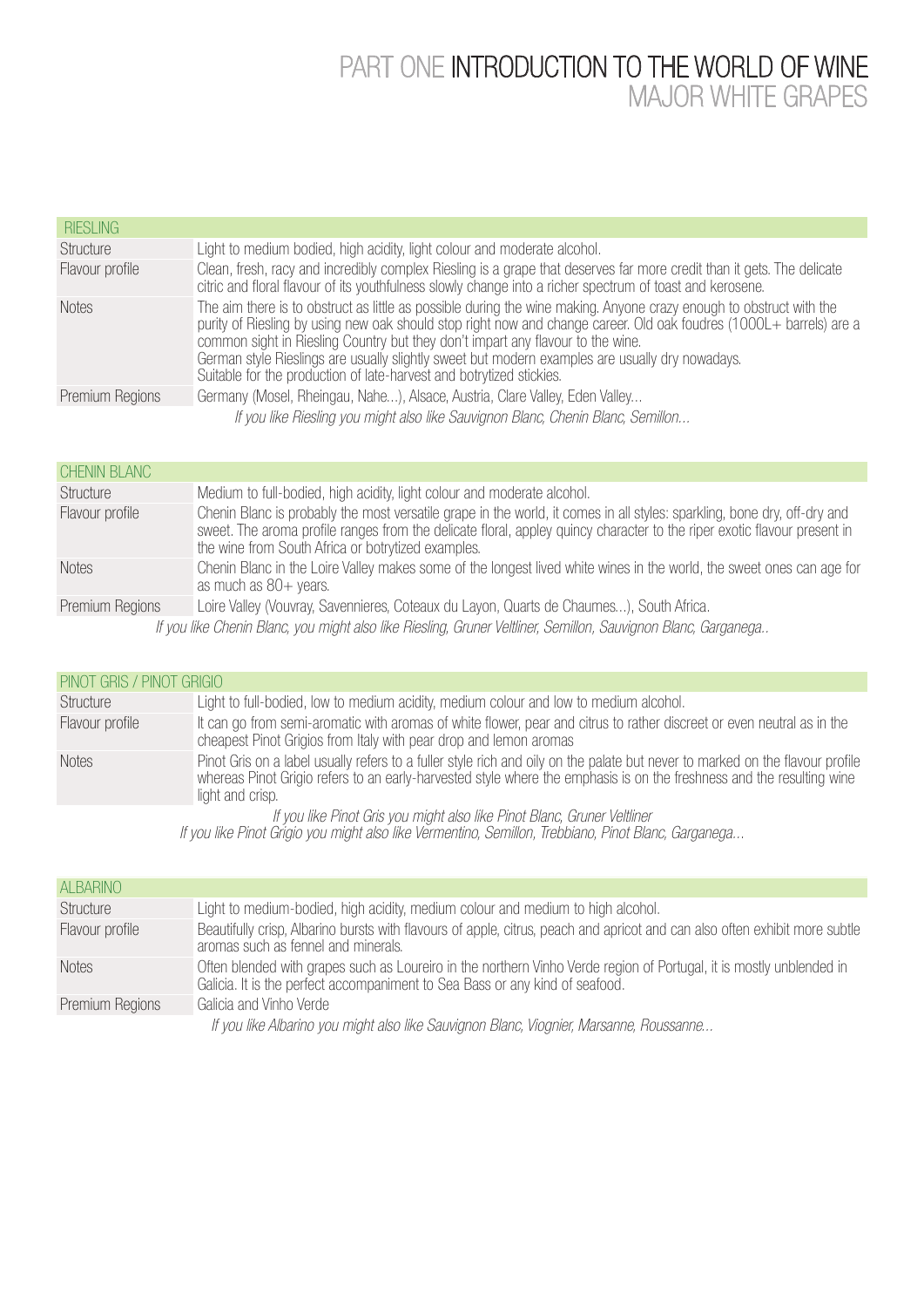#### PART ONE INTRODUCTION TO THE WORLD OF WINE MAJOR WHITE GRAPES

| <b>RIESLING</b> |                                                                                                                                                                                                                                                                                                                                                                                                                                                                                                          |
|-----------------|----------------------------------------------------------------------------------------------------------------------------------------------------------------------------------------------------------------------------------------------------------------------------------------------------------------------------------------------------------------------------------------------------------------------------------------------------------------------------------------------------------|
| Structure       | Light to medium bodied, high acidity, light colour and moderate alcohol.                                                                                                                                                                                                                                                                                                                                                                                                                                 |
| Flavour profile | Clean, fresh, racy and incredibly complex Riesling is a grape that deserves far more credit than it gets. The delicate<br>citric and floral flavour of its youthfulness slowly change into a richer spectrum of toast and kerosene.                                                                                                                                                                                                                                                                      |
| <b>Notes</b>    | The aim there is to obstruct as little as possible during the wine making. Anyone crazy enough to obstruct with the<br>purity of Riesling by using new oak should stop right now and change career. Old oak foudres (1000L+ barrels) are a<br>common sight in Riesling Country but they don't impart any flavour to the wine.<br>German style Rieslings are usually slightly sweet but modern examples are usually dry nowadays.<br>Suitable for the production of late-harvest and botrytized stickies. |
| Premium Regions | Germany (Mosel, Rheingau, Nahe), Alsace, Austria, Clare Valley, Eden Valley                                                                                                                                                                                                                                                                                                                                                                                                                              |
|                 | If you like Riesling you might also like Sauvignon Blanc, Chenin Blanc, Semillon                                                                                                                                                                                                                                                                                                                                                                                                                         |

| <b>CHENIN BLANC</b>                                                                                            |                                                                                                                                                                                                                                                                                                            |
|----------------------------------------------------------------------------------------------------------------|------------------------------------------------------------------------------------------------------------------------------------------------------------------------------------------------------------------------------------------------------------------------------------------------------------|
| Structure                                                                                                      | Medium to full-bodied, high acidity, light colour and moderate alcohol.                                                                                                                                                                                                                                    |
| Flavour profile                                                                                                | Chenin Blanc is probably the most versatile grape in the world, it comes in all styles: sparkling, bone dry, off-dry and<br>sweet. The aroma profile ranges from the delicate floral, appley quincy character to the riper exotic flavour present in<br>the wine from South Africa or botrytized examples. |
| <b>Notes</b>                                                                                                   | Chenin Blanc in the Loire Valley makes some of the longest lived white wines in the world, the sweet ones can age for<br>as much as $80+$ years.                                                                                                                                                           |
| Premium Regions                                                                                                | Loire Valley (Vouvray, Savennieres, Coteaux du Layon, Quarts de Chaumes), South Africa.                                                                                                                                                                                                                    |
| If you like Chenin Blanc, you might also like Riesling, Gruner Veltliner, Semillon, Sauvignon Blanc, Garganega |                                                                                                                                                                                                                                                                                                            |

| PINOT GRIS / PINOT GRIGIO |                                                                                                                                                                                                                                                                            |  |
|---------------------------|----------------------------------------------------------------------------------------------------------------------------------------------------------------------------------------------------------------------------------------------------------------------------|--|
| Structure                 | Light to full-bodied, low to medium acidity, medium colour and low to medium alcohol.                                                                                                                                                                                      |  |
| Flavour profile           | It can go from semi-aromatic with aromas of white flower, pear and citrus to rather discreet or even neutral as in the<br>cheapest Pinot Grigios from Italy with pear drop and lemon aromas                                                                                |  |
| <b>Notes</b>              | Pinot Gris on a label usually refers to a fuller style rich and oily on the palate but never to marked on the flavour profile<br>whereas Pinot Grigio refers to an early-harvested style where the emphasis is on the freshness and the resulting wine<br>light and crisp. |  |
|                           | If you like Pinot Gris you might also like Pinot Blanc, Gruner Veltliner<br>If you like Pinot Grigio you might also like Vermentino, Semillon, Trebbiano, Pinot Blanc, Garganega                                                                                           |  |

| <b>ALBARINO</b> |                                                                                                                                                                                                      |
|-----------------|------------------------------------------------------------------------------------------------------------------------------------------------------------------------------------------------------|
| Structure       | Light to medium-bodied, high acidity, medium colour and medium to high alcohol.                                                                                                                      |
| Flavour profile | Beautifully crisp, Albarino bursts with flavours of apple, citrus, peach and apricot and can also often exhibit more subtle<br>aromas such as fennel and minerals.                                   |
| <b>Notes</b>    | Often blended with grapes such as Loureiro in the northern Vinho Verde region of Portugal, it is mostly unblended in<br>Galicia. It is the perfect accompaniment to Sea Bass or any kind of seafood. |
| Premium Regions | Galicia and Vinho Verde                                                                                                                                                                              |
|                 | If you like Albarino you might also like Sauvignon Blanc, Viognier, Marsanne, Roussanne                                                                                                              |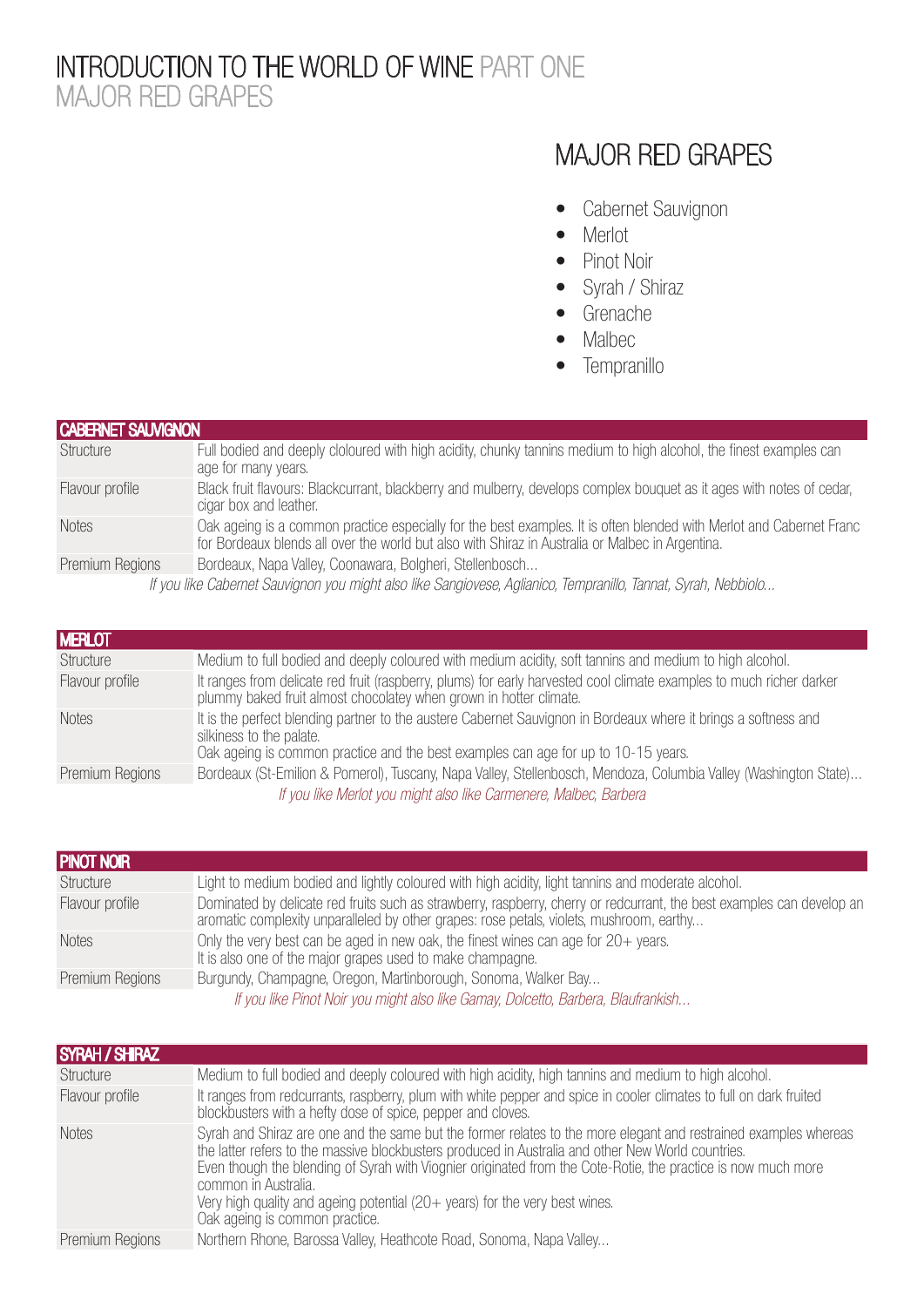#### INTRODUCTION TO THE WORLD OF WINE PART ONE MAJOR RED GRAPES

### MAJOR RED GRAPES

- Cabernet Sauvignon
- Merlot
- Pinot Noir
- Syrah / Shiraz
- Grenache
- Malbec
- Tempranillo

#### CABERNET SAUVIGNON

| Structure                                                                                                      | Full bodied and deeply cloloured with high acidity, chunky tannins medium to high alcohol, the finest examples can<br>age for many years.                                                                                |
|----------------------------------------------------------------------------------------------------------------|--------------------------------------------------------------------------------------------------------------------------------------------------------------------------------------------------------------------------|
| Flavour profile                                                                                                | Black fruit flavours: Blackcurrant, blackberry and mulberry, develops complex bouquet as it ages with notes of cedar,<br>cigar box and leather.                                                                          |
| <b>Notes</b>                                                                                                   | Oak ageing is a common practice especially for the best examples. It is often blended with Merlot and Cabernet Franc<br>for Bordeaux blends all over the world but also with Shiraz in Australia or Malbec in Argentina. |
| Premium Regions                                                                                                | Bordeaux, Napa Valley, Coonawara, Bolgheri, Stellenbosch                                                                                                                                                                 |
| If you like Cabernet Sauvignon you might also like Sangiovese, Aglianico, Tempranillo, Tannat, Syrah, Nebbiolo |                                                                                                                                                                                                                          |

| <b>MERLOT</b>   |                                                                                                                                                                                            |
|-----------------|--------------------------------------------------------------------------------------------------------------------------------------------------------------------------------------------|
| Structure       | Medium to full bodied and deeply coloured with medium acidity, soft tannins and medium to high alcohol.                                                                                    |
| Flavour profile | It ranges from delicate red fruit (raspberry, plums) for early harvested cool climate examples to much richer darker<br>plummy baked fruit almost chocolatey when grown in hotter climate. |
| <b>Notes</b>    | It is the perfect blending partner to the austere Cabernet Sauvignon in Bordeaux where it brings a softness and<br>silkiness to the palate.                                                |
|                 | Oak ageing is common practice and the best examples can age for up to 10-15 years.                                                                                                         |
| Premium Regions | Bordeaux (St-Emilion & Pomerol), Tuscany, Napa Valley, Stellenbosch, Mendoza, Columbia Valley (Washington State)                                                                           |
|                 | If you like Merlot you might also like Carmenere, Malbec, Barbera                                                                                                                          |

| <b>PINOT NOIR</b> |                                                                                                                                                                                                                    |
|-------------------|--------------------------------------------------------------------------------------------------------------------------------------------------------------------------------------------------------------------|
| Structure         | Light to medium bodied and lightly coloured with high acidity, light tannins and moderate alcohol.                                                                                                                 |
| Flavour profile   | Dominated by delicate red fruits such as strawberry, raspberry, cherry or redcurrant, the best examples can develop an<br>aromatic complexity unparalleled by other grapes: rose petals, violets, mushroom, earthy |
| <b>Notes</b>      | Only the very best can be aged in new oak, the finest wines can age for $20+$ years.<br>It is also one of the major grapes used to make champagne.                                                                 |
| Premium Regions   | Burgundy, Champagne, Oregon, Martinborough, Sonoma, Walker Bay                                                                                                                                                     |
|                   | If you like Pinot Noir you might also like Gamay, Dolcetto, Barbera, Blaufrankish                                                                                                                                  |

| <b>SYRAH / SHIRAZ</b> |                                                                                                                                                                                                                                                                                                                                                                                                                                                                                  |
|-----------------------|----------------------------------------------------------------------------------------------------------------------------------------------------------------------------------------------------------------------------------------------------------------------------------------------------------------------------------------------------------------------------------------------------------------------------------------------------------------------------------|
| Structure             | Medium to full bodied and deeply coloured with high acidity, high tannins and medium to high alcohol.                                                                                                                                                                                                                                                                                                                                                                            |
| Flavour profile       | It ranges from redcurrants, raspberry, plum with white pepper and spice in cooler climates to full on dark fruited<br>blockbusters with a hefty dose of spice, pepper and cloves.                                                                                                                                                                                                                                                                                                |
| <b>Notes</b>          | Syrah and Shiraz are one and the same but the former relates to the more elegant and restrained examples whereas<br>the latter refers to the massive blockbusters produced in Australia and other New World countries.<br>Even though the blending of Syrah with Viognier originated from the Cote-Rotie, the practice is now much more<br>common in Australia.<br>Very high quality and ageing potential (20+ years) for the very best wines.<br>Oak ageing is common practice. |
| Premium Regions       | Northern Rhone, Barossa Valley, Heathcote Road, Sonoma, Napa Valley                                                                                                                                                                                                                                                                                                                                                                                                              |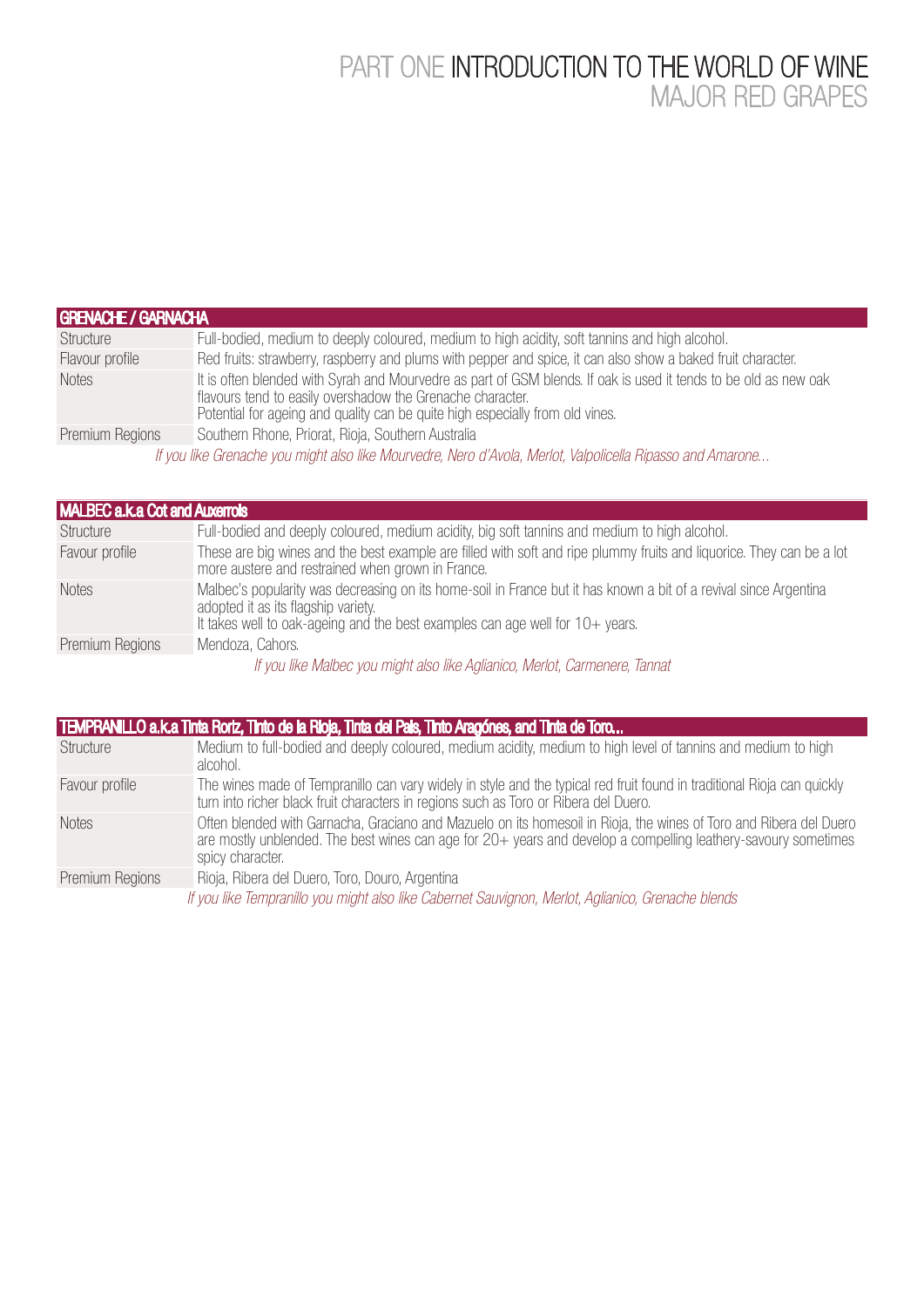#### PART ONE INTRODUCTION TO THE WORLD OF WINE MAJOR RED GRAPES

| <b>GRENACHE / GARNACHA</b>                                                                                 |                                                                                                                                                                                                                                                                 |  |
|------------------------------------------------------------------------------------------------------------|-----------------------------------------------------------------------------------------------------------------------------------------------------------------------------------------------------------------------------------------------------------------|--|
| Structure                                                                                                  | Full-bodied, medium to deeply coloured, medium to high acidity, soft tannins and high alcohol.                                                                                                                                                                  |  |
| Flavour profile                                                                                            | Red fruits: strawberry, raspberry and plums with pepper and spice, it can also show a baked fruit character.                                                                                                                                                    |  |
| <b>Notes</b>                                                                                               | It is often blended with Syrah and Mourvedre as part of GSM blends. If oak is used it tends to be old as new oak<br>flavours tend to easily overshadow the Grenache character.<br>Potential for ageing and quality can be quite high especially from old vines. |  |
| Premium Regions                                                                                            | Southern Rhone, Priorat, Rioja, Southern Australia                                                                                                                                                                                                              |  |
| If you like Grenache you might also like Mourvedre, Nero d'Avola, Merlot, Valpolicella Ripasso and Amarone |                                                                                                                                                                                                                                                                 |  |

| <b>MALBEC a.k.a Cot and Auxerrols</b> |                                                                                                                                                                            |  |
|---------------------------------------|----------------------------------------------------------------------------------------------------------------------------------------------------------------------------|--|
| Structure                             | Full-bodied and deeply coloured, medium acidity, big soft tannins and medium to high alcohol.                                                                              |  |
| Favour profile                        | These are big wines and the best example are filled with soft and ripe plummy fruits and liquorice. They can be a lot<br>more austere and restrained when grown in France. |  |
| <b>Notes</b>                          | Malbec's popularity was decreasing on its home-soil in France but it has known a bit of a revival since Argentina<br>adopted it as its flagship variety.                   |  |
|                                       | It takes well to oak-ageing and the best examples can age well for $10+$ years.                                                                                            |  |
| Premium Regions                       | Mendoza, Cahors.                                                                                                                                                           |  |
|                                       | If you like Malbec you might also like Aglianico, Merlot, Carmenere, Tannat                                                                                                |  |

| TEMPRANILLO a.k.a Tinta Rortz, Tinto de la Rioja, Tinta del Pals, Tinto Aragónes, and Tinta de Toro |                                                                                                                                                                                                                                                          |
|-----------------------------------------------------------------------------------------------------|----------------------------------------------------------------------------------------------------------------------------------------------------------------------------------------------------------------------------------------------------------|
| Structure                                                                                           | Medium to full-bodied and deeply coloured, medium acidity, medium to high level of tannins and medium to high<br>alcohol.                                                                                                                                |
| Favour profile                                                                                      | The wines made of Tempranillo can vary widely in style and the typical red fruit found in traditional Rioja can quickly<br>turn into richer black fruit characters in regions such as Toro or Ribera del Duero.                                          |
| <b>Notes</b>                                                                                        | Often blended with Garnacha, Graciano and Mazuelo on its homesoil in Rioja, the wines of Toro and Ribera del Duero<br>are mostly unblended. The best wines can age for 20+ years and develop a compelling leathery-savoury sometimes<br>spicy character. |
| Premium Regions                                                                                     | Rioja, Ribera del Duero, Toro, Douro, Argentina                                                                                                                                                                                                          |
|                                                                                                     | If you like Tempranillo you might also like Cabernet Sauvignon, Merlot, Aglianico, Grenache blends                                                                                                                                                       |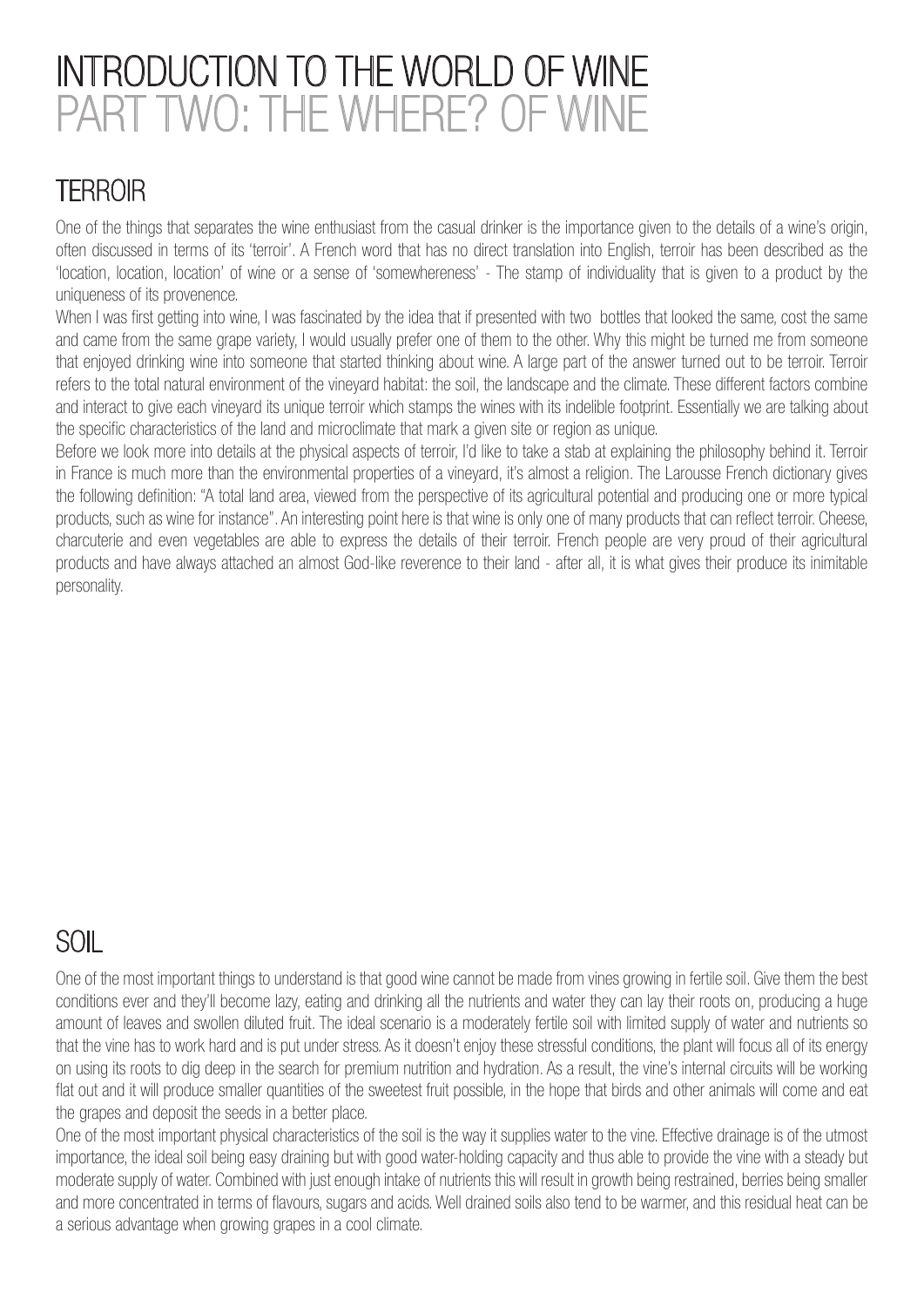# INTRODUCTION TO THE WORLD OF WINE PART TWO: THE WHERE? OF WINE

### **TERROIR**

One of the things that separates the wine enthusiast from the casual drinker is the importance given to the details of a wine's origin, often discussed in terms of its 'terroir'. A French word that has no direct translation into English, terroir has been described as the 'location, location, location' of wine or a sense of 'somewhereness' - The stamp of individuality that is given to a product by the uniqueness of its provenence.

When I was first getting into wine. I was fascinated by the idea that if presented with two bottles that looked the same, cost the same and came from the same grape variety, I would usually prefer one of them to the other. Why this might be turned me from someone that enjoyed drinking wine into someone that started thinking about wine. A large part of the answer turned out to be terroir. Terroir refers to the total natural environment of the vineyard habitat: the soil, the landscape and the climate. These different factors combine and interact to give each vineyard its unique terroir which stamps the wines with its indelible footprint. Essentially we are talking about the specific characteristics of the land and microclimate that mark a given site or region as unique.

Before we look more into details at the physical aspects of terroir, I'd like to take a stab at explaining the philosophy behind it. Terroir in France is much more than the environmental properties of a vineyard, it's almost a religion. The Larousse French dictionary gives the following definition: "A total land area, viewed from the perspective of its agricultural potential and producing one or more typical products, such as wine for instance". An interesting point here is that wine is only one of many products that can reflect terroir. Cheese, charcuterie and even vegetables are able to express the details of their terroir. French people are very proud of their agricultural products and have always attached an almost God-like reverence to their land - after all, it is what gives their produce its inimitable personality.

## SOIL

One of the most important things to understand is that good wine cannot be made from vines growing in fertile soil. Give them the best conditions ever and they'll become lazy, eating and drinking all the nutrients and water they can lay their roots on, producing a huge amount of leaves and swollen diluted fruit. The ideal scenario is a moderately fertile soil with limited supply of water and nutrients so that the vine has to work hard and is put under stress. As it doesn't enjoy these stressful conditions, the plant will focus all of its energy on using its roots to dig deep in the search for premium nutrition and hydration. As a result, the vine's internal circuits will be working flat out and it will produce smaller quantities of the sweetest fruit possible, in the hope that birds and other animals will come and eat the grapes and deposit the seeds in a better place.

One of the most important physical characteristics of the soil is the way it supplies water to the vine. Effective drainage is of the utmost importance, the ideal soil being easy draining but with good water-holding capacity and thus able to provide the vine with a steady but moderate supply of water. Combined with just enough intake of nutrients this will result in growth being restrained, berries being smaller and more concentrated in terms of flavours, sugars and acids. Well drained soils also tend to be warmer, and this residual heat can be a serious advantage when growing grapes in a cool climate.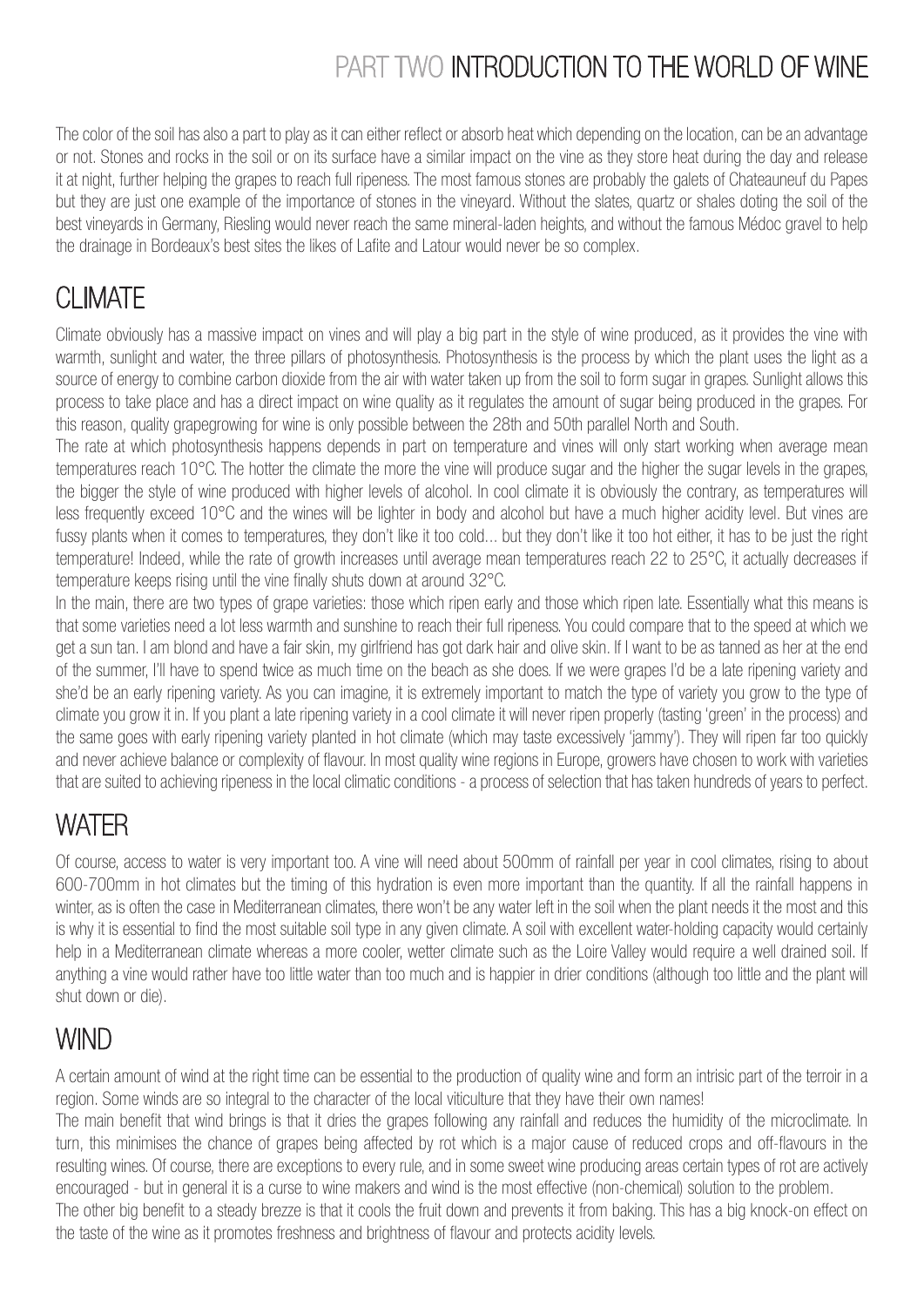# PART TWO INTRODUCTION TO THE WORLD OF WINE

The color of the soil has also a part to play as it can either reflect or absorb heat which depending on the location, can be an advantage or not. Stones and rocks in the soil or on its surface have a similar impact on the vine as they store heat during the day and release it at night, further helping the grapes to reach full ripeness. The most famous stones are probably the galets of Chateauneuf du Papes but they are just one example of the importance of stones in the vineyard. Without the slates, quartz or shales doting the soil of the best vineyards in Germany, Riesling would never reach the same mineral-laden heights, and without the famous Médoc gravel to help the drainage in Bordeaux's best sites the likes of Lafite and Latour would never be so complex.

# CLIMATE

Climate obviously has a massive impact on vines and will play a big part in the style of wine produced, as it provides the vine with warmth, sunlight and water, the three pillars of photosynthesis. Photosynthesis is the process by which the plant uses the light as a source of energy to combine carbon dioxide from the air with water taken up from the soil to form sugar in grapes. Sunlight allows this process to take place and has a direct impact on wine quality as it regulates the amount of sugar being produced in the grapes. For this reason, quality grapegrowing for wine is only possible between the 28th and 50th parallel North and South.

The rate at which photosynthesis happens depends in part on temperature and vines will only start working when average mean temperatures reach 10°C. The hotter the climate the more the vine will produce sugar and the higher the sugar levels in the grapes, the bigger the style of wine produced with higher levels of alcohol. In cool climate it is obviously the contrary, as temperatures will less frequently exceed 10°C and the wines will be lighter in body and alcohol but have a much higher acidity level. But vines are fussy plants when it comes to temperatures, they don't like it too cold... but they don't like it too hot either, it has to be just the right temperature! Indeed, while the rate of growth increases until average mean temperatures reach 22 to 25°C, it actually decreases if temperature keeps rising until the vine finally shuts down at around 32°C.

In the main, there are two types of grape varieties: those which ripen early and those which ripen late. Essentially what this means is that some varieties need a lot less warmth and sunshine to reach their full ripeness. You could compare that to the speed at which we get a sun tan. I am blond and have a fair skin, my girlfriend has got dark hair and olive skin. If I want to be as tanned as her at the end of the summer, I'll have to spend twice as much time on the beach as she does. If we were grapes I'd be a late ripening variety and she'd be an early ripening variety. As you can imagine, it is extremely important to match the type of variety you grow to the type of climate you grow it in. If you plant a late ripening variety in a cool climate it will never ripen properly (tasting 'green' in the process) and the same goes with early ripening variety planted in hot climate (which may taste excessively 'jammy'). They will ripen far too quickly and never achieve balance or complexity of flavour. In most quality wine regions in Europe, growers have chosen to work with varieties that are suited to achieving ripeness in the local climatic conditions - a process of selection that has taken hundreds of years to perfect.

## **WATFR**

Of course, access to water is very important too. A vine will need about 500mm of rainfall per year in cool climates, rising to about 600-700mm in hot climates but the timing of this hydration is even more important than the quantity. If all the rainfall happens in winter, as is often the case in Mediterranean climates, there won't be any water left in the soil when the plant needs it the most and this is why it is essential to find the most suitable soil type in any given climate. A soil with excellent water-holding capacity would certainly help in a Mediterranean climate whereas a more cooler, wetter climate such as the Loire Valley would require a well drained soil. If anything a vine would rather have too little water than too much and is happier in drier conditions (although too little and the plant will shut down or die).

## **WIND**

A certain amount of wind at the right time can be essential to the production of quality wine and form an intrisic part of the terroir in a region. Some winds are so integral to the character of the local viticulture that they have their own names!

The main benefit that wind brings is that it dries the grapes following any rainfall and reduces the humidity of the microclimate. In turn, this minimises the chance of grapes being affected by rot which is a major cause of reduced crops and off-flavours in the resulting wines. Of course, there are exceptions to every rule, and in some sweet wine producing areas certain types of rot are actively encouraged - but in general it is a curse to wine makers and wind is the most effective (non-chemical) solution to the problem.

The other big benefit to a steady brezze is that it cools the fruit down and prevents it from baking. This has a big knock-on effect on the taste of the wine as it promotes freshness and brightness of flavour and protects acidity levels.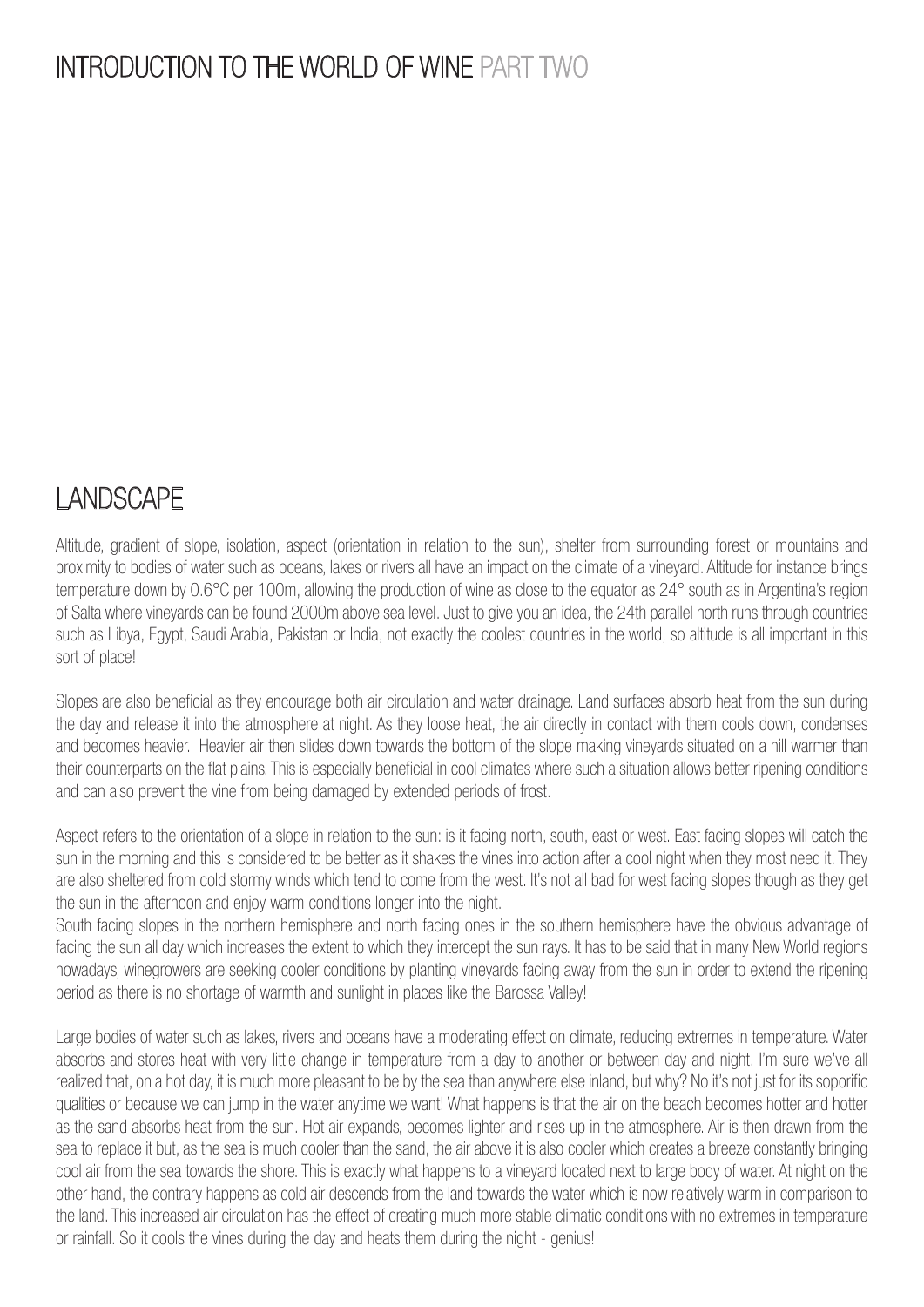### INTRODUCTION TO THE WORLD OF WINE PART TWO

#### **LANDSCAPE**

Altitude, gradient of slope, isolation, aspect (orientation in relation to the sun), shelter from surrounding forest or mountains and proximity to bodies of water such as oceans, lakes or rivers all have an impact on the climate of a vineyard. Altitude for instance brings temperature down by 0.6°C per 100m, allowing the production of wine as close to the equator as 24° south as in Argentina's region of Salta where vineyards can be found 2000m above sea level. Just to give you an idea, the 24th parallel north runs through countries such as Libya, Egypt, Saudi Arabia, Pakistan or India, not exactly the coolest countries in the world, so altitude is all important in this sort of place!

Slopes are also beneficial as they encourage both air circulation and water drainage. Land surfaces absorb heat from the sun during the day and release it into the atmosphere at night. As they loose heat, the air directly in contact with them cools down, condenses and becomes heavier. Heavier air then slides down towards the bottom of the slope making vineyards situated on a hill warmer than their counterparts on the flat plains. This is especially beneficial in cool climates where such a situation allows better ripening conditions and can also prevent the vine from being damaged by extended periods of frost.

Aspect refers to the orientation of a slope in relation to the sun: is it facing north, south, east or west. East facing slopes will catch the sun in the morning and this is considered to be better as it shakes the vines into action after a cool night when they most need it. They are also sheltered from cold stormy winds which tend to come from the west. It's not all bad for west facing slopes though as they get the sun in the afternoon and enjoy warm conditions longer into the night.

South facing slopes in the northern hemisphere and north facing ones in the southern hemisphere have the obvious advantage of facing the sun all day which increases the extent to which they intercept the sun rays. It has to be said that in many New World regions nowadays, winegrowers are seeking cooler conditions by planting vineyards facing away from the sun in order to extend the ripening period as there is no shortage of warmth and sunlight in places like the Barossa Valley!

Large bodies of water such as lakes, rivers and oceans have a moderating effect on climate, reducing extremes in temperature. Water absorbs and stores heat with very little change in temperature from a day to another or between day and night. I'm sure we've all realized that, on a hot day, it is much more pleasant to be by the sea than anywhere else inland, but why? No it's not just for its soporific qualities or because we can jump in the water anytime we want! What happens is that the air on the beach becomes hotter and hotter as the sand absorbs heat from the sun. Hot air expands, becomes lighter and rises up in the atmosphere. Air is then drawn from the sea to replace it but, as the sea is much cooler than the sand, the air above it is also cooler which creates a breeze constantly bringing cool air from the sea towards the shore. This is exactly what happens to a vineyard located next to large body of water. At night on the other hand, the contrary happens as cold air descends from the land towards the water which is now relatively warm in comparison to the land. This increased air circulation has the effect of creating much more stable climatic conditions with no extremes in temperature or rainfall. So it cools the vines during the day and heats them during the night - genius!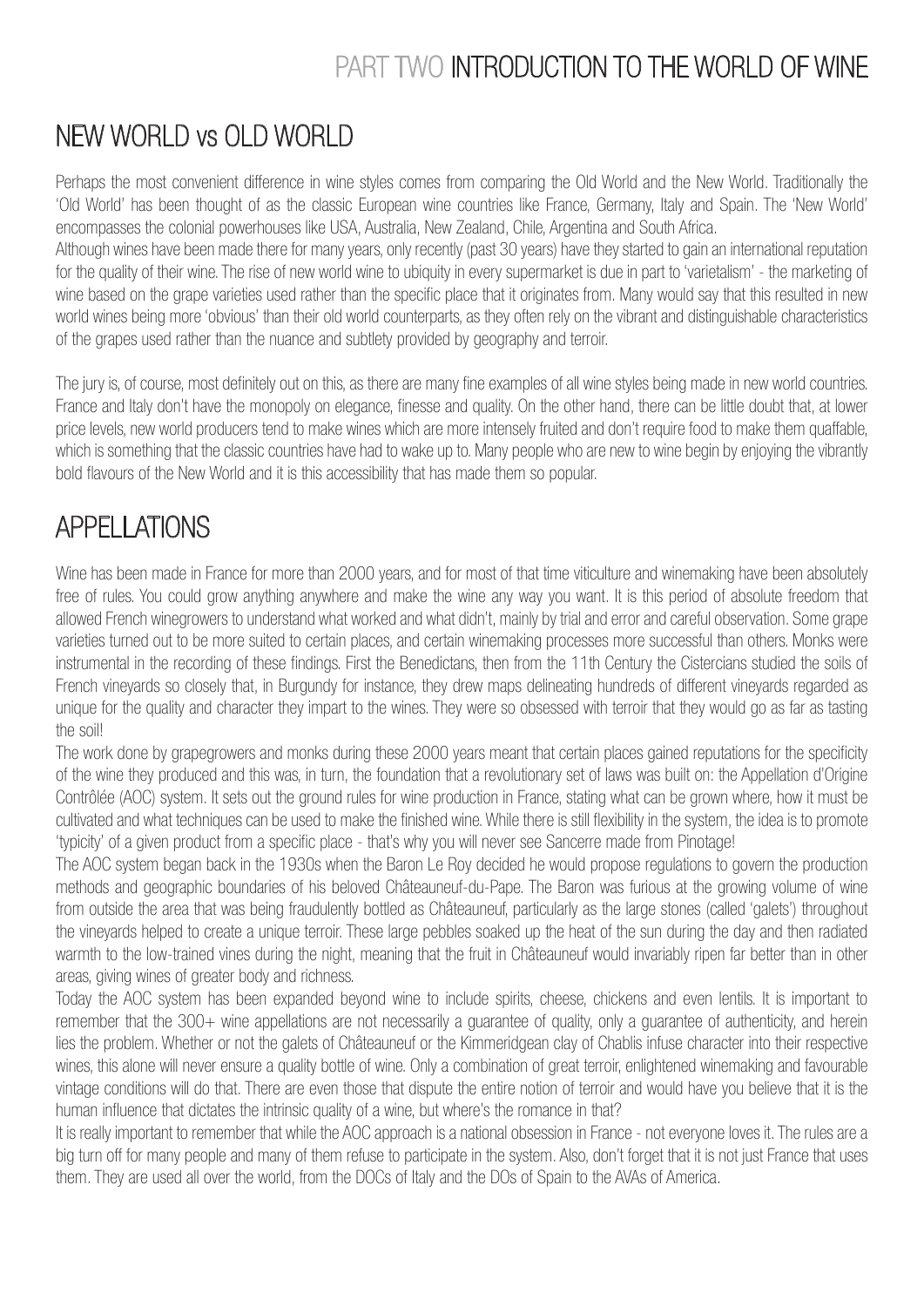## PART TWO INTRODUCTION TO THE WORLD OF WINE

### NEW WORLD vs OLD WORLD

Perhaps the most convenient difference in wine styles comes from comparing the Old World and the New World. Traditionally the 'Old World' has been thought of as the classic European wine countries like France, Germany, Italy and Spain. The 'New World' encompasses the colonial powerhouses like USA, Australia, New Zealand, Chile, Argentina and South Africa.

Although wines have been made there for many years, only recently (past 30 years) have they started to gain an international reputation for the quality of their wine. The rise of new world wine to ubiquity in every supermarket is due in part to 'varietalism' - the marketing of wine based on the grape varieties used rather than the specific place that it originates from. Many would say that this resulted in new world wines being more 'obvious' than their old world counterparts, as they often rely on the vibrant and distinguishable characteristics of the grapes used rather than the nuance and subtlety provided by geography and terroir.

The jury is, of course, most definitely out on this, as there are many fine examples of all wine styles being made in new world countries. France and Italy don't have the monopoly on elegance, finesse and quality. On the other hand, there can be little doubt that, at lower price levels, new world producers tend to make wines which are more intensely fruited and don't require food to make them quaffable, which is something that the classic countries have had to wake up to. Many people who are new to wine begin by enjoying the vibrantly bold flavours of the New World and it is this accessibility that has made them so popular.

## APPELLATIONS

Wine has been made in France for more than 2000 years, and for most of that time viticulture and winemaking have been absolutely free of rules. You could grow anything anywhere and make the wine any way you want. It is this period of absolute freedom that allowed French winegrowers to understand what worked and what didn't, mainly by trial and error and careful observation. Some grape varieties turned out to be more suited to certain places, and certain winemaking processes more successful than others. Monks were instrumental in the recording of these findings. First the Benedictans, then from the 11th Century the Cistercians studied the soils of French vineyards so closely that, in Burgundy for instance, they drew maps delineating hundreds of different vineyards regarded as unique for the quality and character they impart to the wines. They were so obsessed with terroir that they would go as far as tasting the soil!

The work done by grapegrowers and monks during these 2000 years meant that certain places gained reputations for the specificity of the wine they produced and this was, in turn, the foundation that a revolutionary set of laws was built on: the Appellation d'Origine Contrôlée (AOC) system. It sets out the ground rules for wine production in France, stating what can be grown where, how it must be cultivated and what techniques can be used to make the finished wine. While there is still flexibility in the system, the idea is to promote 'typicity' of a given product from a specific place - that's why you will never see Sancerre made from Pinotage!

The AOC system began back in the 1930s when the Baron Le Roy decided he would propose regulations to govern the production methods and geographic boundaries of his beloved Châteauneuf-du-Pape. The Baron was furious at the growing volume of wine from outside the area that was being fraudulently bottled as Châteauneuf, particularly as the large stones (called 'galets') throughout the vineyards helped to create a unique terroir. These large pebbles soaked up the heat of the sun during the day and then radiated warmth to the low-trained vines during the night, meaning that the fruit in Châteauneuf would invariably ripen far better than in other areas, giving wines of greater body and richness.

Today the AOC system has been expanded beyond wine to include spirits, cheese, chickens and even lentils. It is important to remember that the 300+ wine appellations are not necessarily a guarantee of quality, only a guarantee of authenticity, and herein lies the problem. Whether or not the galets of Châteauneuf or the Kimmeridgean clay of Chablis infuse character into their respective wines, this alone will never ensure a quality bottle of wine. Only a combination of great terroir, enlightened winemaking and favourable vintage conditions will do that. There are even those that dispute the entire notion of terroir and would have you believe that it is the human influence that dictates the intrinsic quality of a wine, but where's the romance in that?

It is really important to remember that while the AOC approach is a national obsession in France - not everyone loves it. The rules are a big turn off for many people and many of them refuse to participate in the system. Also, don't forget that it is not just France that uses them. They are used all over the world, from the DOCs of Italy and the DOs of Spain to the AVAs of America.